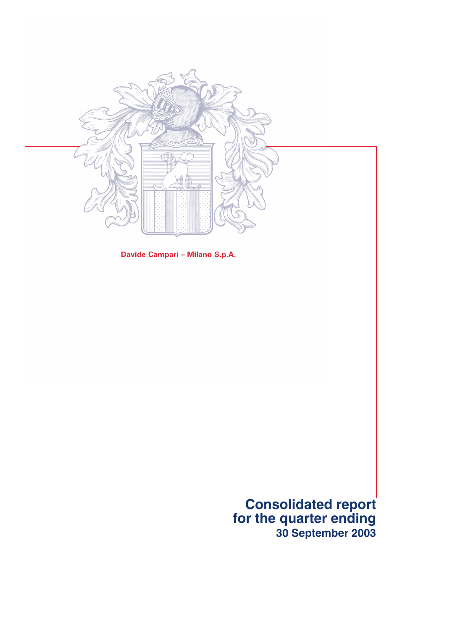

**Davide Campari – Milano S.p.A.**

**Consolidated report for the quarter ending 30 September 2003**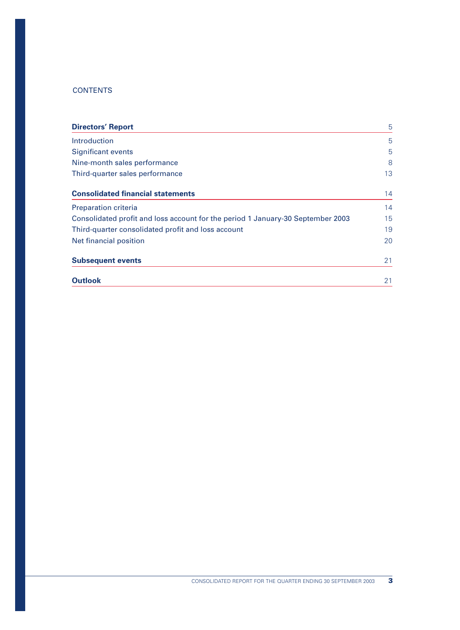# **CONTENTS**

| <b>Directors' Report</b>                                                        | 5  |
|---------------------------------------------------------------------------------|----|
| Introduction                                                                    | 5  |
| <b>Significant events</b>                                                       | 5  |
| Nine-month sales performance                                                    | 8  |
| Third-quarter sales performance                                                 | 13 |
| <b>Consolidated financial statements</b>                                        | 14 |
| <b>Preparation criteria</b>                                                     | 14 |
| Consolidated profit and loss account for the period 1 January-30 September 2003 | 15 |
| Third-quarter consolidated profit and loss account                              | 19 |
| Net financial position                                                          | 20 |
| <b>Subsequent events</b>                                                        | 21 |
| <b>Outlook</b>                                                                  | 21 |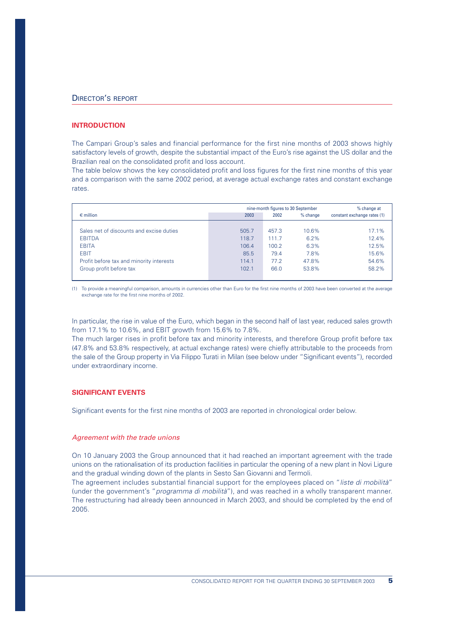## **INTRODUCTION**

The Campari Group's sales and financial performance for the first nine months of 2003 shows highly satisfactory levels of growth, despite the substantial impact of the Euro's rise against the US dollar and the Brazilian real on the consolidated profit and loss account.

The table below shows the key consolidated profit and loss figures for the first nine months of this year and a comparison with the same 2002 period, at average actual exchange rates and constant exchange rates.

|                                          |       | nine-month figures to 30 September | % change at |                             |
|------------------------------------------|-------|------------------------------------|-------------|-----------------------------|
| $\epsilon$ million                       | 2003  | 2002                               | % change    | constant exchange rates (1) |
|                                          |       |                                    |             |                             |
| Sales net of discounts and excise duties | 505.7 | 457.3                              | 10.6%       | 17.1%                       |
| <b>EBITDA</b>                            | 118.7 | 111.7                              | 6.2%        | 12.4%                       |
| <b>EBITA</b>                             | 106.4 | 100.2                              | 6.3%        | 12.5%                       |
| <b>EBIT</b>                              | 85.5  | 79.4                               | 7.8%        | 15.6%                       |
| Profit before tax and minority interests | 114.1 | 77.2                               | 47.8%       | 54.6%                       |
| Group profit before tax                  | 102.1 | 66.0                               | 53.8%       | 58.2%                       |

(1) To provide a meaningful comparison, amounts in currencies other than Euro for the first nine months of 2003 have been converted at the average exchange rate for the first nine months of 2002.

In particular, the rise in value of the Euro, which began in the second half of last year, reduced sales growth from 17.1% to 10.6%, and EBIT growth from 15.6% to 7.8%.

The much larger rises in profit before tax and minority interests, and therefore Group profit before tax (47.8% and 53.8% respectively, at actual exchange rates) were chiefly attributable to the proceeds from the sale of the Group property in Via Filippo Turati in Milan (see below under "Significant events"), recorded under extraordinary income.

#### **SIGNIFICANT EVENTS**

Significant events for the first nine months of 2003 are reported in chronological order below.

#### *Agreement with the trade unions*

On 10 January 2003 the Group announced that it had reached an important agreement with the trade unions on the rationalisation of its production facilities in particular the opening of a new plant in Novi Ligure and the gradual winding down of the plants in Sesto San Giovanni and Termoli.

The agreement includes substantial financial support for the employees placed on "*liste di mobilità*" (under the government's "*programma di mobilità*"), and was reached in a wholly transparent manner. The restructuring had already been announced in March 2003, and should be completed by the end of 2005.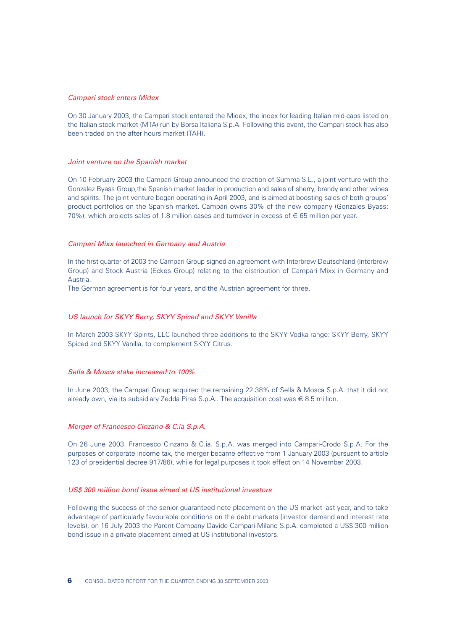### *Campari stock enters Midex*

On 30 January 2003, the Campari stock entered the Midex, the index for leading Italian mid-caps listed on the Italian stock market (MTA) run by Borsa Italiana S.p.A. Following this event, the Campari stock has also been traded on the after hours market (TAH).

#### *Joint venture on the Spanish market*

On 10 February 2003 the Campari Group announced the creation of Summa S.L., a joint venture with the Gonzalez Byass Group,the Spanish market leader in production and sales of sherry, brandy and other wines and spirits. The joint venture began operating in April 2003, and is aimed at boosting sales of both groups' product portfolios on the Spanish market. Campari owns 30% of the new company (Gonzales Byass: 70%), which projects sales of 1.8 million cases and turnover in excess of  $\epsilon$  65 million per year.

## *Campari Mixx launched in Germany and Austria*

In the first quarter of 2003 the Campari Group signed an agreement with Interbrew Deutschland (Interbrew Group) and Stock Austria (Eckes Group) relating to the distribution of Campari Mixx in Germany and Austria.

The German agreement is for four years, and the Austrian agreement for three.

## *US launch for SKYY Berry, SKYY Spiced and SKYY Vanilla*

In March 2003 SKYY Spirits, LLC launched three additions to the SKYY Vodka range: SKYY Berry, SKYY Spiced and SKYY Vanilla, to complement SKYY Citrus.

#### *Sella & Mosca stake increased to 100%*

In June 2003, the Campari Group acquired the remaining 22.38% of Sella & Mosca S.p.A. that it did not already own, via its subsidiary Zedda Piras S.p.A.. The acquisition cost was  $\in$  8.5 million.

#### *Merger of Francesco Cinzano & C.ia S.p.A.*

On 26 June 2003, Francesco Cinzano & C.ia. S.p.A. was merged into Campari-Crodo S.p.A. For the purposes of corporate income tax, the merger became effective from 1 January 2003 (pursuant to article 123 of presidential decree 917/86), while for legal purposes it took effect on 14 November 2003.

## *US\$ 300 million bond issue aimed at US institutional investors*

Following the success of the senior guaranteed note placement on the US market last year, and to take advantage of particularly favourable conditions on the debt markets (investor demand and interest rate levels), on 16 July 2003 the Parent Company Davide Campari-Milano S.p.A. completed a US\$ 300 million bond issue in a private placement aimed at US institutional investors.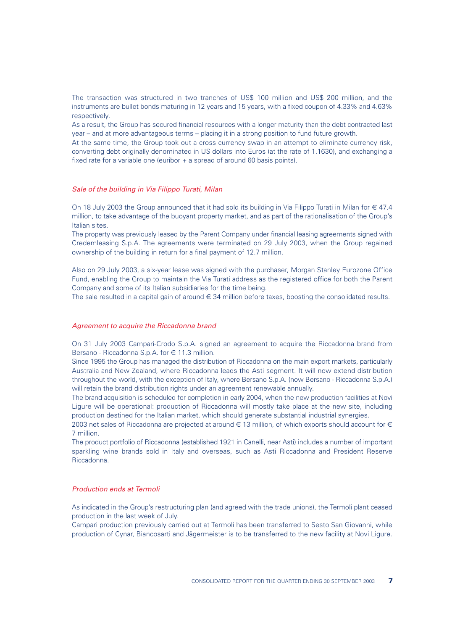The transaction was structured in two tranches of US\$ 100 million and US\$ 200 million, and the instruments are bullet bonds maturing in 12 years and 15 years, with a fixed coupon of 4.33% and 4.63% respectively.

As a result, the Group has secured financial resources with a longer maturity than the debt contracted last year – and at more advantageous terms – placing it in a strong position to fund future growth.

At the same time, the Group took out a cross currency swap in an attempt to eliminate currency risk, converting debt originally denominated in US dollars into Euros (at the rate of 1.1630), and exchanging a fixed rate for a variable one (euribor + a spread of around 60 basis points).

#### *Sale of the building in Via Filippo Turati, Milan*

On 18 July 2003 the Group announced that it had sold its building in Via Filippo Turati in Milan for € 47.4 million, to take advantage of the buoyant property market, and as part of the rationalisation of the Group's Italian sites.

The property was previously leased by the Parent Company under financial leasing agreements signed with Credemleasing S.p.A. The agreements were terminated on 29 July 2003, when the Group regained ownership of the building in return for a final payment of 12.7 million.

Also on 29 July 2003, a six-year lease was signed with the purchaser, Morgan Stanley Eurozone Office Fund, enabling the Group to maintain the Via Turati address as the registered office for both the Parent Company and some of its Italian subsidiaries for the time being.

The sale resulted in a capital gain of around  $\epsilon$  34 million before taxes, boosting the consolidated results.

#### *Agreement to acquire the Riccadonna brand*

On 31 July 2003 Campari-Crodo S.p.A. signed an agreement to acquire the Riccadonna brand from Bersano - Riccadonna S.p.A. for € 11.3 million.

Since 1995 the Group has managed the distribution of Riccadonna on the main export markets, particularly Australia and New Zealand, where Riccadonna leads the Asti segment. It will now extend distribution throughout the world, with the exception of Italy, where Bersano S.p.A. (now Bersano - Riccadonna S.p.A.) will retain the brand distribution rights under an agreement renewable annually.

The brand acquisition is scheduled for completion in early 2004, when the new production facilities at Novi Ligure will be operational: production of Riccadonna will mostly take place at the new site, including production destined for the Italian market, which should generate substantial industrial synergies.

2003 net sales of Riccadonna are projected at around  $\in$  13 million, of which exports should account for  $\in$ 7 million.

The product portfolio of Riccadonna (established 1921 in Canelli, near Asti) includes a number of important sparkling wine brands sold in Italy and overseas, such as Asti Riccadonna and President Reserve Riccadonna.

## *Production ends at Termoli*

As indicated in the Group's restructuring plan (and agreed with the trade unions), the Termoli plant ceased production in the last week of July.

Campari production previously carried out at Termoli has been transferred to Sesto San Giovanni, while production of Cynar, Biancosarti and Jägermeister is to be transferred to the new facility at Novi Ligure.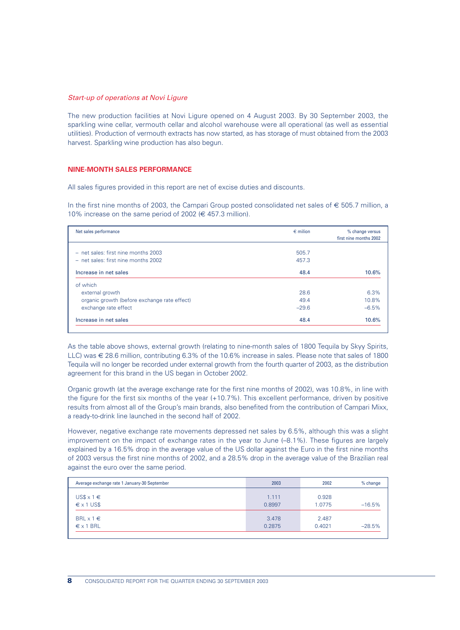#### *Start-up of operations at Novi Ligure*

The new production facilities at Novi Ligure opened on 4 August 2003. By 30 September 2003, the sparkling wine cellar, vermouth cellar and alcohol warehouse were all operational (as well as essential utilities). Production of vermouth extracts has now started, as has storage of must obtained from the 2003 harvest. Sparkling wine production has also begun.

#### **NINE-MONTH SALES PERFORMANCE**

All sales figures provided in this report are net of excise duties and discounts.

In the first nine months of 2003, the Campari Group posted consolidated net sales of € 505.7 million, a 10% increase on the same period of 2002 ( $\in$  457.3 million).

| Net sales performance                        | $\epsilon$ milion | % change versus<br>first nine months 2002 |
|----------------------------------------------|-------------------|-------------------------------------------|
|                                              |                   |                                           |
| - net sales: first nine months 2003          | 505.7             |                                           |
| - net sales: first nine months 2002          | 457.3             |                                           |
| Increase in net sales                        | 48.4              | 10.6%                                     |
| of which                                     |                   |                                           |
| external growth                              | 28.6              | 6.3%                                      |
| organic growth (before exchange rate effect) | 49.4              | 10.8%                                     |
| exchange rate effect                         | $-29.6$           | $-6.5%$                                   |
| Increase in net sales                        | 48.4              | 10.6%                                     |

As the table above shows, external growth (relating to nine-month sales of 1800 Tequila by Skyy Spirits, LLC) was € 28.6 million, contributing 6.3% of the 10.6% increase in sales. Please note that sales of 1800 Tequila will no longer be recorded under external growth from the fourth quarter of 2003, as the distribution agreement for this brand in the US began in October 2002.

Organic growth (at the average exchange rate for the first nine months of 2002), was 10.8%, in line with the figure for the first six months of the year (+10.7%). This excellent performance, driven by positive results from almost all of the Group's main brands, also benefited from the contribution of Campari Mixx, a ready-to-drink line launched in the second half of 2002.

However, negative exchange rate movements depressed net sales by 6.5%, although this was a slight improvement on the impact of exchange rates in the year to June (–8.1%). These figures are largely explained by a 16.5% drop in the average value of the US dollar against the Euro in the first nine months of 2003 versus the first nine months of 2002, and a 28.5% drop in the average value of the Brazilian real against the euro over the same period.

| Average exchange rate 1 January-30 September | 2003   | 2002   | $%$ change |
|----------------------------------------------|--------|--------|------------|
| $US$ \times 1 \in$                           | 1.111  | 0.928  | $-16.5%$   |
| $\epsilon$ x 1 US\$                          | 0.8997 | 1.0775 |            |
| BRL $x 1 \in$                                | 3.478  | 2.487  | $-28.5%$   |
| $\epsilon$ x 1 BRL                           | 0.2875 | 0.4021 |            |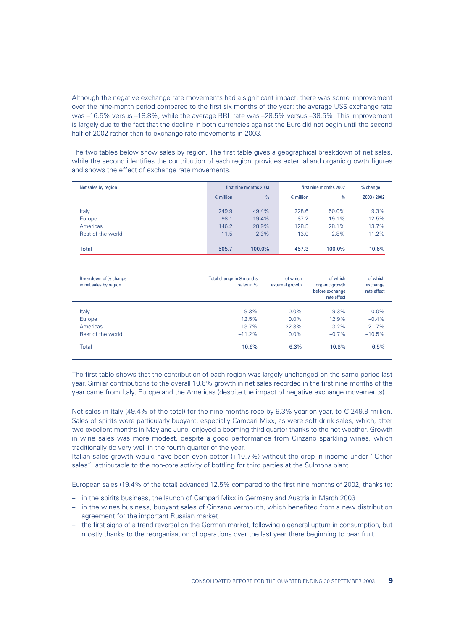Although the negative exchange rate movements had a significant impact, there was some improvement over the nine-month period compared to the first six months of the year: the average US\$ exchange rate was –16.5% versus –18.8%, while the average BRL rate was –28.5% versus –38.5%. This improvement is largely due to the fact that the decline in both currencies against the Euro did not begin until the second half of 2002 rather than to exchange rate movements in 2003.

The two tables below show sales by region. The first table gives a geographical breakdown of net sales, while the second identifies the contribution of each region, provides external and organic growth figures and shows the effect of exchange rate movements.

| Net sales by region |                    | first nine months 2003 |                    | first nine months 2002 | % change    |
|---------------------|--------------------|------------------------|--------------------|------------------------|-------------|
|                     | $\epsilon$ million | %                      | $\epsilon$ million | %                      | 2003 / 2002 |
|                     |                    |                        |                    |                        |             |
| Italy               | 249.9              | 49.4%                  | 228.6              | 50.0%                  | 9.3%        |
| Europe              | 98.1               | 19.4%                  | 87.2               | 19.1%                  | 12.5%       |
| Americas            | 146.2              | 28.9%                  | 128.5              | 28.1%                  | 13.7%       |
| Rest of the world   | 11.5               | 2.3%                   | 13.0               | 2.8%                   | $-11.2%$    |
|                     |                    |                        |                    |                        |             |
| Total               | 505.7              | 100.0%                 | 457.3              | 100.0%                 | 10.6%       |

| Breakdown of % change<br>in net sales by region | Total change in 9 months<br>sales in % | of which<br>external growth | of which<br>organic growth<br>before exchange<br>rate effect | of which<br>exchange<br>rate effect |
|-------------------------------------------------|----------------------------------------|-----------------------------|--------------------------------------------------------------|-------------------------------------|
| Italy                                           | 9.3%                                   | $0.0\%$                     | 9.3%                                                         | $0.0\%$                             |
| Europe                                          | 12.5%                                  | $0.0\%$                     | 12.9%                                                        | $-0.4%$                             |
| Americas                                        | 13.7%                                  | 22.3%                       | 13.2%                                                        | $-21.7%$                            |
| Rest of the world                               | $-11.2%$                               | $0.0\%$                     | $-0.7\%$                                                     | $-10.5%$                            |
| <b>Total</b>                                    | 10.6%                                  | 6.3%                        | 10.8%                                                        | $-6.5%$                             |

The first table shows that the contribution of each region was largely unchanged on the same period last year. Similar contributions to the overall 10.6% growth in net sales recorded in the first nine months of the year came from Italy, Europe and the Americas (despite the impact of negative exchange movements).

Net sales in Italy (49.4% of the total) for the nine months rose by 9.3% year-on-year, to  $\in$  249.9 million. Sales of spirits were particularly buoyant, especially Campari Mixx, as were soft drink sales, which, after two excellent months in May and June, enjoyed a booming third quarter thanks to the hot weather. Growth in wine sales was more modest, despite a good performance from Cinzano sparkling wines, which traditionally do very well in the fourth quarter of the year.

Italian sales growth would have been even better (+10.7%) without the drop in income under "Other sales", attributable to the non-core activity of bottling for third parties at the Sulmona plant.

European sales (19.4% of the total) advanced 12.5% compared to the first nine months of 2002, thanks to:

- in the spirits business, the launch of Campari Mixx in Germany and Austria in March 2003
- in the wines business, buoyant sales of Cinzano vermouth, which benefited from a new distribution agreement for the important Russian market
- the first signs of a trend reversal on the German market, following a general upturn in consumption, but mostly thanks to the reorganisation of operations over the last year there beginning to bear fruit.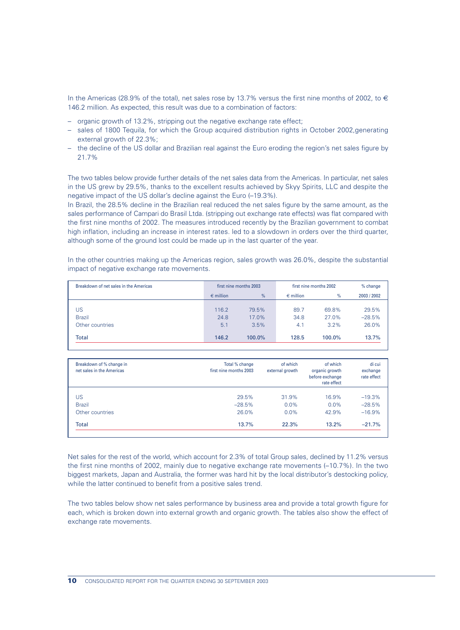In the Americas (28.9% of the total), net sales rose by 13.7% versus the first nine months of 2002, to  $\in$ 146.2 million. As expected, this result was due to a combination of factors:

- organic growth of 13.2%, stripping out the negative exchange rate effect;
- sales of 1800 Tequila, for which the Group acquired distribution rights in October 2002,generating external growth of 22.3%;
- the decline of the US dollar and Brazilian real against the Euro eroding the region's net sales figure by 21.7%

The two tables below provide further details of the net sales data from the Americas. In particular, net sales in the US grew by 29.5%, thanks to the excellent results achieved by Skyy Spirits, LLC and despite the negative impact of the US dollar's decline against the Euro (–19.3%).

In Brazil, the 28.5% decline in the Brazilian real reduced the net sales figure by the same amount, as the sales performance of Campari do Brasil Ltda. (stripping out exchange rate effects) was flat compared with the first nine months of 2002. The measures introduced recently by the Brazilian government to combat high inflation, including an increase in interest rates. led to a slowdown in orders over the third quarter, although some of the ground lost could be made up in the last quarter of the year.

In the other countries making up the Americas region, sales growth was 26.0%, despite the substantial impact of negative exchange rate movements.

| Breakdown of net sales in the Americas |                    | first nine months 2003 |                    | first nine months 2002 | % change    |
|----------------------------------------|--------------------|------------------------|--------------------|------------------------|-------------|
|                                        | $\epsilon$ million | $\%$                   | $\epsilon$ million | %                      | 2003 / 2002 |
|                                        |                    |                        |                    |                        |             |
| US                                     | 116.2              | 79.5%                  | 89.7               | 69.8%                  | 29.5%       |
| <b>Brazil</b>                          | 24.8               | 17.0%                  | 34.8               | 27.0%                  | $-28.5%$    |
| Other countries                        | 5.1                | 3.5%                   | 4.1                | 3.2%                   | 26.0%       |
| Total                                  | 146.2              | 100.0%                 | 128.5              | 100.0%                 | 13.7%       |

| Breakdown of % change in<br>net sales in the Americas | Total % change<br>first nine months 2003 | of which<br>external growth | of which<br>organic growth<br>before exchange<br>rate effect | di cui<br>exchange<br>rate effect |
|-------------------------------------------------------|------------------------------------------|-----------------------------|--------------------------------------------------------------|-----------------------------------|
| US                                                    | 29.5%                                    | 31.9%                       | 16.9%                                                        | $-19.3%$                          |
| <b>Brazil</b>                                         | $-28.5%$                                 | $0.0\%$                     | $0.0\%$                                                      | $-28.5%$                          |
| Other countries                                       | 26.0%                                    | $0.0\%$                     | 42.9%                                                        | $-16.9%$                          |
| Total                                                 | 13.7%                                    | 22.3%                       | 13.2%                                                        | $-21.7%$                          |

Net sales for the rest of the world, which account for 2.3% of total Group sales, declined by 11.2% versus the first nine months of 2002, mainly due to negative exchange rate movements (–10.7%). In the two biggest markets, Japan and Australia, the former was hard hit by the local distributor's destocking policy, while the latter continued to benefit from a positive sales trend.

The two tables below show net sales performance by business area and provide a total growth figure for each, which is broken down into external growth and organic growth. The tables also show the effect of exchange rate movements.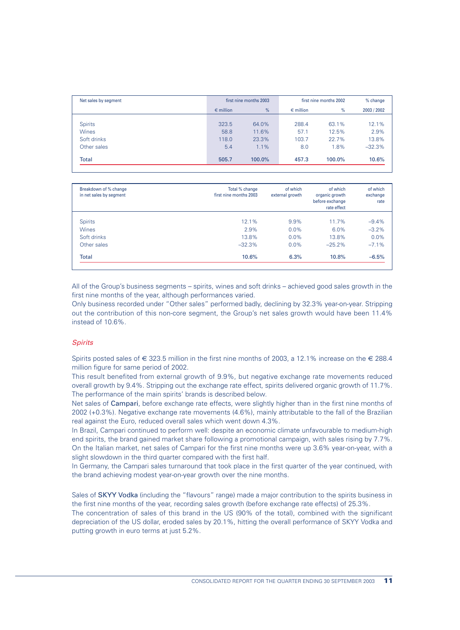| Net sales by segment |                    | first nine months 2003 |                    | first nine months 2002 | % change    |
|----------------------|--------------------|------------------------|--------------------|------------------------|-------------|
|                      | $\epsilon$ million | %                      | $\epsilon$ million | %                      | 2003 / 2002 |
|                      |                    |                        |                    |                        |             |
| <b>Spirits</b>       | 323.5              | 64.0%                  | 288.4              | 63.1%                  | 12.1%       |
| <b>Wines</b>         | 58.8               | 11.6%                  | 57.1               | 12.5%                  | 2.9%        |
| Soft drinks          | 118.0              | 23.3%                  | 103.7              | 22.7%                  | 13.8%       |
| Other sales          | 5.4                | 1.1%                   | 8.0                | 1.8%                   | $-32.3%$    |
| Total                | 505.7              | 100.0%                 | 457.3              | 100.0%                 | 10.6%       |

| Breakdown of % change<br>in net sales by segment | Total % change<br>first nine months 2003 | of which<br>external growth | of which<br>organic growth<br>before exchange<br>rate effect | of which<br>exchange<br>rate |
|--------------------------------------------------|------------------------------------------|-----------------------------|--------------------------------------------------------------|------------------------------|
| <b>Spirits</b>                                   | 12.1%                                    | 9.9%                        | $11.7\%$                                                     | $-9.4%$                      |
| <b>Wines</b>                                     | 2.9%                                     | $0.0\%$                     | 6.0%                                                         | $-3.2%$                      |
| Soft drinks                                      | 13.8%                                    | $0.0\%$                     | 13.8%                                                        | 0.0%                         |
| Other sales                                      | $-32.3%$                                 | $0.0\%$                     | $-25.2%$                                                     | $-7.1%$                      |
| <b>Total</b>                                     | 10.6%                                    | 6.3%                        | 10.8%                                                        | $-6.5%$                      |

All of the Group's business segments – spirits, wines and soft drinks – achieved good sales growth in the first nine months of the year, although performances varied.

Only business recorded under "Other sales" performed badly, declining by 32.3% year-on-year. Stripping out the contribution of this non-core segment, the Group's net sales growth would have been 11.4% instead of 10.6%.

## *Spirits*

Spirits posted sales of  $\in$  323.5 million in the first nine months of 2003, a 12.1% increase on the  $\in$  288.4 million figure for same period of 2002.

This result benefited from external growth of 9.9%, but negative exchange rate movements reduced overall growth by 9.4%. Stripping out the exchange rate effect, spirits delivered organic growth of 11.7%. The performance of the main spirits' brands is described below.

Net sales of Campari, before exchange rate effects, were slightly higher than in the first nine months of 2002 (+0.3%). Negative exchange rate movements (4.6%), mainly attributable to the fall of the Brazilian real against the Euro, reduced overall sales which went down 4.3%.

In Brazil, Campari continued to perform well: despite an economic climate unfavourable to medium-high end spirits, the brand gained market share following a promotional campaign, with sales rising by 7.7%. On the Italian market, net sales of Campari for the first nine months were up 3.6% year-on-year, with a slight slowdown in the third quarter compared with the first half.

In Germany, the Campari sales turnaround that took place in the first quarter of the year continued, with the brand achieving modest year-on-year growth over the nine months.

Sales of SKYY Vodka (including the "flavours" range) made a major contribution to the spirits business in the first nine months of the year, recording sales growth (before exchange rate effects) of 25.3%.

The concentration of sales of this brand in the US (90% of the total), combined with the significant depreciation of the US dollar, eroded sales by 20.1%, hitting the overall performance of SKYY Vodka and putting growth in euro terms at just 5.2%.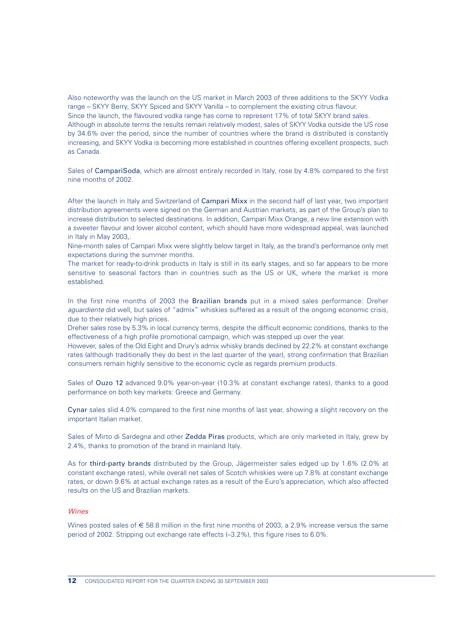Also noteworthy was the launch on the US market in March 2003 of three additions to the SKYY Vodka range – SKYY Berry, SKYY Spiced and SKYY Vanilla – to complement the existing citrus flavour. Since the launch, the flavoured vodka range has come to represent 17% of total SKYY brand sales. Although in absolute terms the results remain relatively modest, sales of SKYY Vodka outside the US rose by 34.6% over the period, since the number of countries where the brand is distributed is constantly increasing, and SKYY Vodka is becoming more established in countries offering excellent prospects, such as Canada.

Sales of CampariSoda*,* which are almost entirely recorded in Italy, rose by 4.8% compared to the first nine months of 2002.

After the launch in Italy and Switzerland of Campari Mixx in the second half of last year, two important distribution agreements were signed on the German and Austrian markets, as part of the Group's plan to increase distribution to selected destinations. In addition, Campari Mixx Orange, a new line extension with a sweeter flavour and lower alcohol content, which should have more widespread appeal, was launched in Italy in May 2003,.

Nine-month sales of Campari Mixx were slightly below target in Italy, as the brand's performance only met expectations during the summer months.

The market for ready-to-drink products in Italy is still in its early stages, and so far appears to be more sensitive to seasonal factors than in countries such as the US or UK, where the market is more established.

In the first nine months of 2003 the Brazilian brands put in a mixed sales performance: Dreher *aguardiente* did well, but sales of "admix" whiskies suffered as a result of the ongoing economic crisis, due to their relatively high prices.

Dreher sales rose by 5.3% in local currency terms, despite the difficult economic conditions, thanks to the effectiveness of a high profile promotional campaign, which was stepped up over the year.

However, sales of the Old Eight and Drury's admix whisky brands declined by 22.2% at constant exchange rates (although traditionally they do best in the last quarter of the year), strong confirmation that Brazilian consumers remain highly sensitive to the economic cycle as regards premium products.

Sales of Ouzo 12 advanced 9.0% year-on-year (10.3% at constant exchange rates), thanks to a good performance on both key markets: Greece and Germany.

Cynar sales slid 4.0% compared to the first nine months of last year, showing a slight recovery on the important Italian market.

Sales of Mirto di Sardegna and other Zedda Piras products, which are only marketed in Italy, grew by 2.4%, thanks to promotion of the brand in mainland Italy.

As for third-party brands distributed by the Group, Jägermeister sales edged up by 1.6% (2.0% at constant exchange rates), while overall net sales of Scotch whiskies were up 7.8% at constant exchange rates, or down 9.6% at actual exchange rates as a result of the Euro's appreciation, which also affected results on the US and Brazilian markets.

## *Wines*

Wines posted sales of € 58.8 million in the first nine months of 2003, a 2.9% increase versus the same period of 2002. Stripping out exchange rate effects (–3.2%), this figure rises to 6.0%.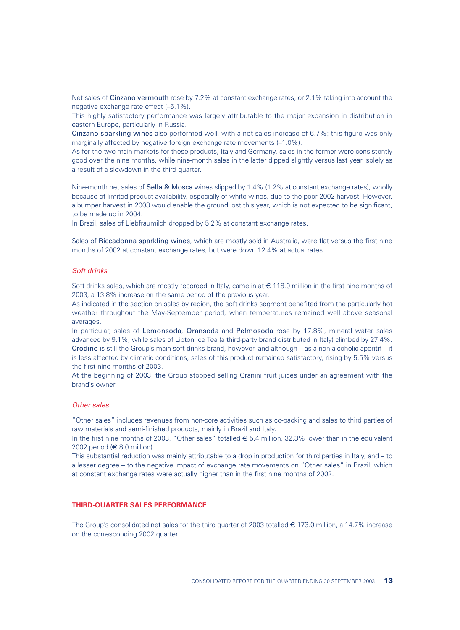Net sales of Cinzano vermouth rose by 7.2% at constant exchange rates, or 2.1% taking into account the negative exchange rate effect (–5.1%).

This highly satisfactory performance was largely attributable to the major expansion in distribution in eastern Europe, particularly in Russia.

Cinzano sparkling wines also performed well, with a net sales increase of 6.7%; this figure was only marginally affected by negative foreign exchange rate movements  $(-1.0\%)$ .

As for the two main markets for these products, Italy and Germany, sales in the former were consistently good over the nine months, while nine-month sales in the latter dipped slightly versus last year, solely as a result of a slowdown in the third quarter.

Nine-month net sales of **Sella & Mosca** wines slipped by 1.4% (1.2% at constant exchange rates), wholly because of limited product availability, especially of white wines, due to the poor 2002 harvest. However, a bumper harvest in 2003 would enable the ground lost this year, which is not expected to be significant, to be made up in 2004.

In Brazil, sales of Liebfraumilch dropped by 5.2% at constant exchange rates.

Sales of Riccadonna sparkling wines, which are mostly sold in Australia, were flat versus the first nine months of 2002 at constant exchange rates, but were down 12.4% at actual rates.

#### *Soft drinks*

Soft drinks sales, which are mostly recorded in Italy, came in at € 118.0 million in the first nine months of 2003, a 13.8% increase on the same period of the previous year.

As indicated in the section on sales by region, the soft drinks segment benefited from the particularly hot weather throughout the May-September period, when temperatures remained well above seasonal averages.

In particular, sales of Lemonsoda, Oransoda and Pelmosoda rose by 17.8%, mineral water sales advanced by 9.1%, while sales of Lipton Ice Tea (a third-party brand distributed in Italy) climbed by 27.4%. Crodino is still the Group's main soft drinks brand, however, and although – as a non-alcoholic aperitif – it is less affected by climatic conditions, sales of this product remained satisfactory, rising by 5.5% versus the first nine months of 2003.

At the beginning of 2003, the Group stopped selling Granini fruit juices under an agreement with the brand's owner.

## *Other sales*

"Other sales" includes revenues from non-core activities such as co-packing and sales to third parties of raw materials and semi-finished products, mainly in Brazil and Italy.

In the first nine months of 2003, "Other sales" totalled  $\epsilon$  5.4 million, 32.3% lower than in the equivalent 2002 period ( $\in$  8.0 million).

This substantial reduction was mainly attributable to a drop in production for third parties in Italy, and – to a lesser degree – to the negative impact of exchange rate movements on "Other sales" in Brazil, which at constant exchange rates were actually higher than in the first nine months of 2002.

## **THIRD-QUARTER SALES PERFORMANCE**

The Group's consolidated net sales for the third quarter of 2003 totalled  $\epsilon$  173.0 million, a 14.7% increase on the corresponding 2002 quarter.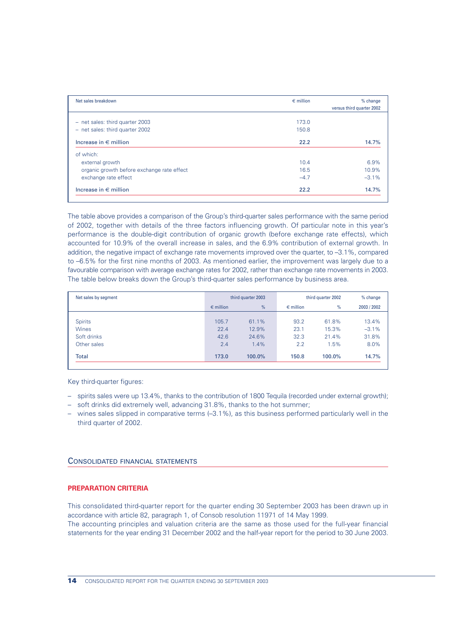| Net sales breakdown                        | $\epsilon$ million | % change                  |
|--------------------------------------------|--------------------|---------------------------|
|                                            |                    | versus third quarter 2002 |
|                                            |                    |                           |
| - net sales: third quarter 2003            | 173.0              |                           |
| - net sales: third quarter 2002            | 150.8              |                           |
| Increase in $\in$ million                  | 22.2               | 14.7%                     |
| of which:                                  |                    |                           |
| external growth                            | 10.4               | 6.9%                      |
| organic growth before exchange rate effect | 16.5               | 10.9%                     |
| exchange rate effect                       | $-4.7$             | $-3.1%$                   |
| Increase in $\epsilon$ million             | 22.2               | 14.7%                     |

The table above provides a comparison of the Group's third-quarter sales performance with the same period of 2002, together with details of the three factors influencing growth. Of particular note in this year's performance is the double-digit contribution of organic growth (before exchange rate effects), which accounted for 10.9% of the overall increase in sales, and the 6.9% contribution of external growth. In addition, the negative impact of exchange rate movements improved over the quarter, to –3.1%, compared to –6.5% for the first nine months of 2003. As mentioned earlier, the improvement was largely due to a favourable comparison with average exchange rates for 2002, rather than exchange rate movements in 2003. The table below breaks down the Group's third-quarter sales performance by business area.

| Net sales by segment |                    | third quarter 2003 |                    | third quarter 2002 | % change    |
|----------------------|--------------------|--------------------|--------------------|--------------------|-------------|
|                      | $\epsilon$ million | %                  | $\epsilon$ million | %                  | 2003 / 2002 |
|                      |                    |                    |                    |                    |             |
| <b>Spirits</b>       | 105.7              | 61.1%              | 93.2               | 61.8%              | 13.4%       |
| <b>Wines</b>         | 22.4               | 12.9%              | 23.1               | 15.3%              | $-3.1%$     |
| Soft drinks          | 42.6               | 24.6%              | 32.3               | 21.4%              | 31.8%       |
| Other sales          | 2.4                | 1.4%               | 2.2                | 1.5%               | 8.0%        |
| <b>Total</b>         | 173.0              | 100.0%             | 150.8              | 100.0%             | 14.7%       |
|                      |                    |                    |                    |                    |             |

Key third-quarter figures:

- spirits sales were up 13.4%, thanks to the contribution of 1800 Tequila (recorded under external growth);
- soft drinks did extremely well, advancing 31.8%, thanks to the hot summer;
- wines sales slipped in comparative terms (–3.1%), as this business performed particularly well in the third quarter of 2002.

## CONSOLIDATED FINANCIAL STATEMENTS

## **PREPARATION CRITERIA**

This consolidated third-quarter report for the quarter ending 30 September 2003 has been drawn up in accordance with article 82, paragraph 1, of Consob resolution 11971 of 14 May 1999.

The accounting principles and valuation criteria are the same as those used for the full-year financial statements for the year ending 31 December 2002 and the half-year report for the period to 30 June 2003.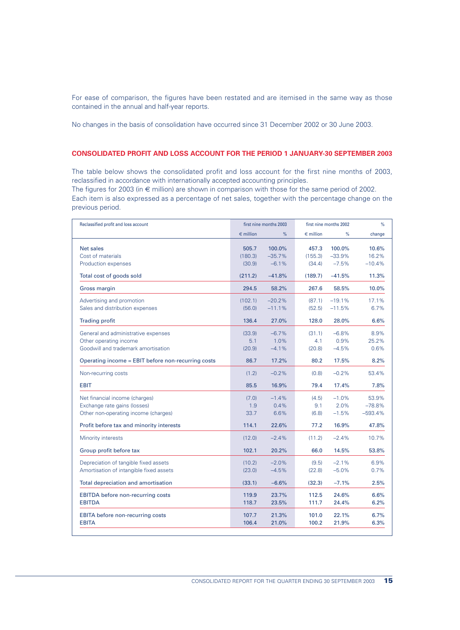For ease of comparison, the figures have been restated and are itemised in the same way as those contained in the annual and half-year reports.

No changes in the basis of consolidation have occurred since 31 December 2002 or 30 June 2003.

## **CONSOLIDATED PROFIT AND LOSS ACCOUNT FOR THE PERIOD 1 JANUARY-30 SEPTEMBER 2003**

The table below shows the consolidated profit and loss account for the first nine months of 2003, reclassified in accordance with internationally accepted accounting principles.

The figures for 2003 (in  $\epsilon$  million) are shown in comparison with those for the same period of 2002.

Each item is also expressed as a percentage of net sales, together with the percentage change on the previous period.

| Reclassified profit and loss account                                                                   | first nine months 2003     |                               | first nine months 2002     |                               | %                              |
|--------------------------------------------------------------------------------------------------------|----------------------------|-------------------------------|----------------------------|-------------------------------|--------------------------------|
|                                                                                                        | $\epsilon$ million         | %                             | $\epsilon$ million         | %                             | change                         |
| <b>Net sales</b><br>Cost of materials<br>Production expenses                                           | 505.7<br>(180.3)<br>(30.9) | 100.0%<br>$-35.7%$<br>$-6.1%$ | 457.3<br>(155.3)<br>(34.4) | 100.0%<br>$-33.9%$<br>$-7.5%$ | 10.6%<br>16.2%<br>$-10.4%$     |
| Total cost of goods sold                                                                               | (211.2)                    | $-41.8%$                      | (189.7)                    | $-41.5%$                      | 11.3%                          |
| <b>Gross margin</b>                                                                                    | 294.5                      | 58.2%                         | 267.6                      | 58.5%                         | 10.0%                          |
| Advertising and promotion<br>Sales and distribution expenses                                           | (102.1)<br>(56.0)          | $-20.2%$<br>$-11.1%$          | (87.1)<br>(52.5)           | $-19.1%$<br>$-11.5%$          | 17.1%<br>6.7%                  |
| <b>Trading profit</b>                                                                                  | 136.4                      | 27.0%                         | 128.0                      | 28.0%                         | 6.6%                           |
| General and administrative expenses<br>Other operating income<br>Goodwill and trademark amortisation   | (33.9)<br>5.1<br>(20.9)    | $-6.7%$<br>1.0%<br>$-4.1%$    | (31.1)<br>4.1<br>(20.8)    | $-6.8%$<br>0.9%<br>$-4.5%$    | 8.9%<br>25.2%<br>0.6%          |
| Operating income = EBIT before non-recurring costs                                                     | 86.7                       | 17.2%                         | 80.2                       | 17.5%                         | 8.2%                           |
| Non-recurring costs                                                                                    | (1.2)                      | $-0.2%$                       | (0.8)                      | $-0.2%$                       | 53.4%                          |
| <b>EBIT</b>                                                                                            | 85.5                       | 16.9%                         | 79.4                       | 17.4%                         | 7.8%                           |
| Net financial income (charges)<br>Exchange rate gains (losses)<br>Other non-operating income (charges) | (7.0)<br>1.9<br>33.7       | $-1.4%$<br>0.4%<br>6.6%       | (4.5)<br>9.1<br>(6.8)      | $-1.0%$<br>2.0%<br>$-1.5%$    | 53.9%<br>$-78.8%$<br>$-593.4%$ |
| Profit before tax and minority interests                                                               | 114.1                      | 22.6%                         | 77.2                       | 16.9%                         | 47.8%                          |
| Minority interests                                                                                     | (12.0)                     | $-2.4%$                       | (11.2)                     | $-2.4%$                       | 10.7%                          |
| Group profit before tax                                                                                | 102.1                      | 20.2%                         | 66.0                       | 14.5%                         | 53.8%                          |
| Depreciation of tangible fixed assets<br>Amortisation of intangible fixed assets                       | (10.2)<br>(23.0)           | $-2.0%$<br>$-4.5%$            | (9.5)<br>(22.8)            | $-2.1%$<br>$-5.0%$            | 6.9%<br>0.7%                   |
| Total depreciation and amortisation                                                                    | (33.1)                     | $-6.6%$                       | (32.3)                     | $-7.1%$                       | 2.5%                           |
| <b>EBITDA</b> before non-recurring costs<br><b>EBITDA</b>                                              | 119.9<br>118.7             | 23.7%<br>23.5%                | 112.5<br>111.7             | 24.6%<br>24.4%                | 6.6%<br>6.2%                   |
| <b>EBITA</b> before non-recurring costs<br><b>EBITA</b>                                                | 107.7<br>106.4             | 21.3%<br>21.0%                | 101.0<br>100.2             | 22.1%<br>21.9%                | 6.7%<br>6.3%                   |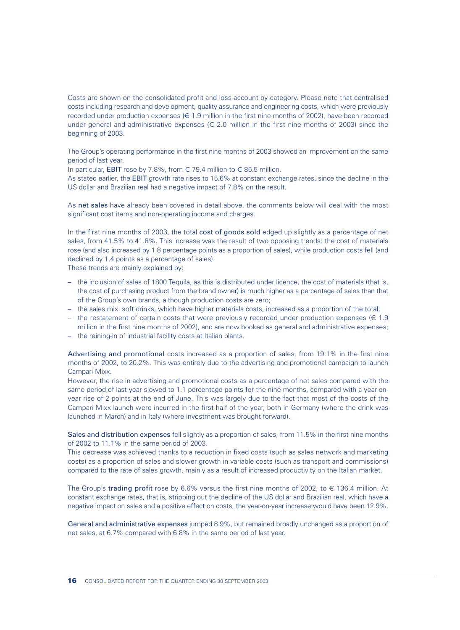Costs are shown on the consolidated profit and loss account by category. Please note that centralised costs including research and development, quality assurance and engineering costs, which were previously recorded under production expenses ( $\in$  1.9 million in the first nine months of 2002), have been recorded under general and administrative expenses ( $\in$  2.0 million in the first nine months of 2003) since the beginning of 2003.

The Group's operating performance in the first nine months of 2003 showed an improvement on the same period of last year.

In particular, EBIT rose by 7.8%, from  $\in$  79.4 million to  $\in$  85.5 million.

As stated earlier, the EBIT growth rate rises to 15.6% at constant exchange rates, since the decline in the US dollar and Brazilian real had a negative impact of 7.8% on the result.

As net sales have already been covered in detail above, the comments below will deal with the most significant cost items and non-operating income and charges.

In the first nine months of 2003, the total cost of goods sold edged up slightly as a percentage of net sales, from 41.5% to 41.8%. This increase was the result of two opposing trends: the cost of materials rose (and also increased by 1.8 percentage points as a proportion of sales), while production costs fell (and declined by 1.4 points as a percentage of sales).

These trends are mainly explained by:

- the inclusion of sales of 1800 Tequila; as this is distributed under licence, the cost of materials (that is, the cost of purchasing product from the brand owner) is much higher as a percentage of sales than that of the Group's own brands, although production costs are zero;
- the sales mix: soft drinks, which have higher materials costs, increased as a proportion of the total;
- the restatement of certain costs that were previously recorded under production expenses ( $\in$  1.9 million in the first nine months of 2002), and are now booked as general and administrative expenses;
- the reining-in of industrial facility costs at Italian plants.

Advertising and promotional costs increased as a proportion of sales, from 19.1% in the first nine months of 2002, to 20.2%. This was entirely due to the advertising and promotional campaign to launch Campari Mixx.

However, the rise in advertising and promotional costs as a percentage of net sales compared with the same period of last year slowed to 1.1 percentage points for the nine months, compared with a year-onyear rise of 2 points at the end of June. This was largely due to the fact that most of the costs of the Campari Mixx launch were incurred in the first half of the year, both in Germany (where the drink was launched in March) and in Italy (where investment was brought forward).

Sales and distribution expenses fell slightly as a proportion of sales, from 11.5% in the first nine months of 2002 to 11.1% in the same period of 2003.

This decrease was achieved thanks to a reduction in fixed costs (such as sales network and marketing costs) as a proportion of sales and slower growth in variable costs (such as transport and commissions) compared to the rate of sales growth, mainly as a result of increased productivity on the Italian market.

The Group's trading profit rose by 6.6% versus the first nine months of 2002, to  $\epsilon$  136.4 million. At constant exchange rates, that is, stripping out the decline of the US dollar and Brazilian real, which have a negative impact on sales and a positive effect on costs, the year-on-year increase would have been 12.9%.

General and administrative expenses jumped 8.9%, but remained broadly unchanged as a proportion of net sales, at 6.7% compared with 6.8% in the same period of last year.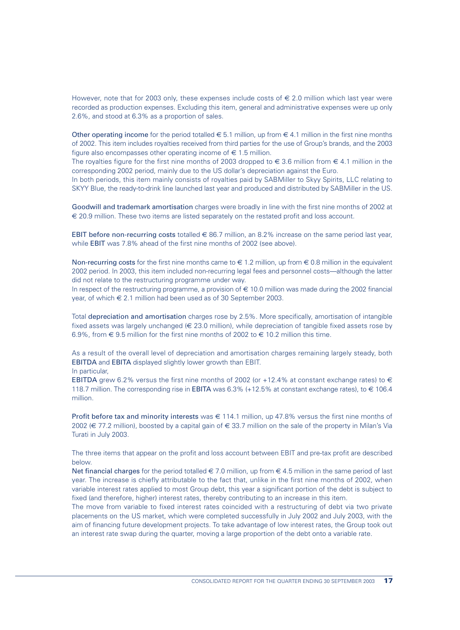However, note that for 2003 only, these expenses include costs of  $\epsilon$  2.0 million which last year were recorded as production expenses. Excluding this item, general and administrative expenses were up only 2.6%, and stood at 6.3% as a proportion of sales.

Other operating income for the period totalled  $\in 5.1$  million, up from  $\in 4.1$  million in the first nine months of 2002. This item includes royalties received from third parties for the use of Group's brands, and the 2003 figure also encompasses other operating income of  $\epsilon$  1.5 million.

The royalties figure for the first nine months of 2003 dropped to  $\in$  3.6 million from  $\in$  4.1 million in the corresponding 2002 period, mainly due to the US dollar's depreciation against the Euro.

In both periods, this item mainly consists of royalties paid by SABMiller to Skyy Spirits, LLC relating to SKYY Blue, the ready-to-drink line launched last year and produced and distributed by SABMiller in the US.

Goodwill and trademark amortisation charges were broadly in line with the first nine months of 2002 at € 20.9 million. These two items are listed separately on the restated profit and loss account.

EBIT before non-recurring costs totalled  $\in$  86.7 million, an 8.2% increase on the same period last year, while EBIT was 7.8% ahead of the first nine months of 2002 (see above).

Non-recurring costs for the first nine months came to  $\in$  1.2 million, up from  $\in$  0.8 million in the equivalent 2002 period. In 2003, this item included non-recurring legal fees and personnel costs—although the latter did not relate to the restructuring programme under way.

In respect of the restructuring programme, a provision of € 10.0 million was made during the 2002 financial year, of which € 2.1 million had been used as of 30 September 2003.

Total depreciation and amortisation charges rose by 2.5%. More specifically, amortisation of intangible fixed assets was largely unchanged ( $\in$  23.0 million), while depreciation of tangible fixed assets rose by 6.9%, from  $\in$  9.5 million for the first nine months of 2002 to  $\in$  10.2 million this time.

As a result of the overall level of depreciation and amortisation charges remaining largely steady, both EBITDA and EBITA displayed slightly lower growth than EBIT.

In particular,

EBITDA grew 6.2% versus the first nine months of 2002 (or +12.4% at constant exchange rates) to  $\in$ 118.7 million. The corresponding rise in EBITA was 6.3% (+12.5% at constant exchange rates), to € 106.4 million.

Profit before tax and minority interests was  $\in$  114.1 million, up 47.8% versus the first nine months of 2002 (€ 77.2 million), boosted by a capital gain of € 33.7 million on the sale of the property in Milan's Via Turati in July 2003.

The three items that appear on the profit and loss account between EBIT and pre-tax profit are described below.

Net financial charges for the period totalled  $\in 7.0$  million, up from  $\in 4.5$  million in the same period of last year. The increase is chiefly attributable to the fact that, unlike in the first nine months of 2002, when variable interest rates applied to most Group debt, this year a significant portion of the debt is subject to fixed (and therefore, higher) interest rates, thereby contributing to an increase in this item.

The move from variable to fixed interest rates coincided with a restructuring of debt via two private placements on the US market, which were completed successfully in July 2002 and July 2003, with the aim of financing future development projects. To take advantage of low interest rates, the Group took out an interest rate swap during the quarter, moving a large proportion of the debt onto a variable rate.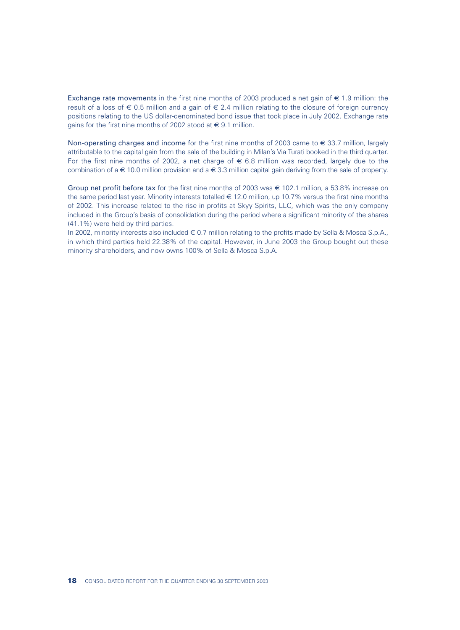Exchange rate movements in the first nine months of 2003 produced a net gain of  $\in$  1.9 million: the result of a loss of  $\epsilon$  0.5 million and a gain of  $\epsilon$  2.4 million relating to the closure of foreign currency positions relating to the US dollar-denominated bond issue that took place in July 2002. Exchange rate gains for the first nine months of 2002 stood at  $\in$  9.1 million.

Non-operating charges and income for the first nine months of 2003 came to  $\epsilon$  33.7 million, largely attributable to the capital gain from the sale of the building in Milan's Via Turati booked in the third quarter. For the first nine months of 2002, a net charge of  $\epsilon$  6.8 million was recorded, largely due to the combination of a  $\in$  10.0 million provision and a  $\in$  3.3 million capital gain deriving from the sale of property.

Group net profit before tax for the first nine months of 2003 was  $\in$  102.1 million, a 53.8% increase on the same period last year. Minority interests totalled  $\epsilon$  12.0 million, up 10.7% versus the first nine months of 2002. This increase related to the rise in profits at Skyy Spirits, LLC, which was the only company included in the Group's basis of consolidation during the period where a significant minority of the shares (41.1%) were held by third parties.

In 2002, minority interests also included € 0.7 million relating to the profits made by Sella & Mosca S.p.A., in which third parties held 22.38% of the capital. However, in June 2003 the Group bought out these minority shareholders, and now owns 100% of Sella & Mosca S.p.A.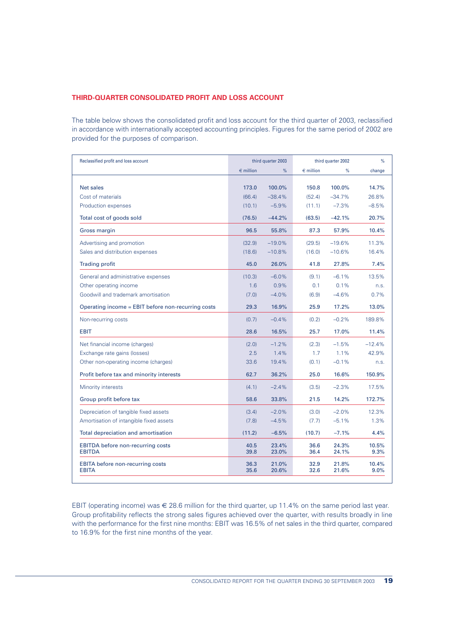## **THIRD-QUARTER CONSOLIDATED PROFIT AND LOSS ACCOUNT**

The table below shows the consolidated profit and loss account for the third quarter of 2003, reclassified in accordance with internationally accepted accounting principles. Figures for the same period of 2002 are provided for the purposes of comparison.

| Reclassified profit and loss account                      | third quarter 2003 |                | third quarter 2002 |                | %             |
|-----------------------------------------------------------|--------------------|----------------|--------------------|----------------|---------------|
|                                                           | $\epsilon$ million | %              | $\epsilon$ million | %              | change        |
|                                                           |                    |                |                    |                |               |
| <b>Net sales</b>                                          | 173.0              | 100.0%         | 150.8              | 100.0%         | 14.7%         |
| Cost of materials                                         | (66.4)             | $-38.4%$       | (52.4)             | $-34.7%$       | 26.8%         |
| Production expenses                                       | (10.1)             | $-5.9%$        | (11.1)             | $-7.3%$        | $-8.5%$       |
| Total cost of goods sold                                  | (76.5)             | $-44.2%$       | (63.5)             | $-42.1%$       | 20.7%         |
| Gross margin                                              | 96.5               | 55.8%          | 87.3               | 57.9%          | 10.4%         |
| Advertising and promotion                                 | (32.9)             | $-19.0%$       | (29.5)             | $-19.6%$       | 11.3%         |
| Sales and distribution expenses                           | (18.6)             | $-10.8%$       | (16.0)             | $-10.6%$       | 16.4%         |
| <b>Trading profit</b>                                     | 45.0               | 26.0%          | 41.8               | 27.8%          | 7.4%          |
| General and administrative expenses                       | (10.3)             | $-6.0%$        | (9.1)              | $-6.1%$        | 13.5%         |
| Other operating income                                    | 1.6                | 0.9%           | 0.1                | 0.1%           | n.s.          |
| Goodwill and trademark amortisation                       | (7.0)              | $-4.0%$        | (6.9)              | $-4.6%$        | 0.7%          |
| Operating income = EBIT before non-recurring costs        | 29.3               | 16.9%          | 25.9               | 17.2%          | 13.0%         |
| Non-recurring costs                                       | (0.7)              | $-0.4%$        | (0.2)              | $-0.2%$        | 189.8%        |
| <b>EBIT</b>                                               | 28.6               | 16.5%          | 25.7               | 17.0%          | 11.4%         |
| Net financial income (charges)                            | (2.0)              | $-1.2%$        | (2.3)              | $-1.5%$        | $-12.4%$      |
| Exchange rate gains (losses)                              | 2.5                | 1.4%           | 1.7                | 1.1%           | 42.9%         |
| Other non-operating income (charges)                      | 33.6               | 19.4%          | (0.1)              | $-0.1%$        | n.s.          |
| Profit before tax and minority interests                  | 62.7               | 36.2%          | 25.0               | 16.6%          | 150.9%        |
| Minority interests                                        | (4.1)              | $-2.4%$        | (3.5)              | $-2.3%$        | 17.5%         |
| Group profit before tax                                   | 58.6               | 33.8%          | 21.5               | 14.2%          | 172.7%        |
| Depreciation of tangible fixed assets                     | (3.4)              | $-2.0%$        | (3.0)              | $-2.0%$        | 12.3%         |
| Amortisation of intangible fixed assets                   | (7.8)              | $-4.5%$        | (7.7)              | $-5.1%$        | 1.3%          |
| Total depreciation and amortisation                       | (11.2)             | $-6.5%$        | (10.7)             | $-7.1%$        | 4.4%          |
| <b>EBITDA</b> before non-recurring costs<br><b>EBITDA</b> | 40.5<br>39.8       | 23.4%<br>23.0% | 36.6<br>36.4       | 24.3%<br>24.1% | 10.5%<br>9.3% |
| <b>EBITA</b> before non-recurring costs<br><b>EBITA</b>   | 36.3<br>35.6       | 21.0%<br>20.6% | 32.9<br>32.6       | 21.8%<br>21.6% | 10.4%<br>9.0% |

EBIT (operating income) was  $\epsilon$  28.6 million for the third quarter, up 11.4% on the same period last year. Group profitability reflects the strong sales figures achieved over the quarter, with results broadly in line with the performance for the first nine months: EBIT was 16.5% of net sales in the third quarter, compared to 16.9% for the first nine months of the year.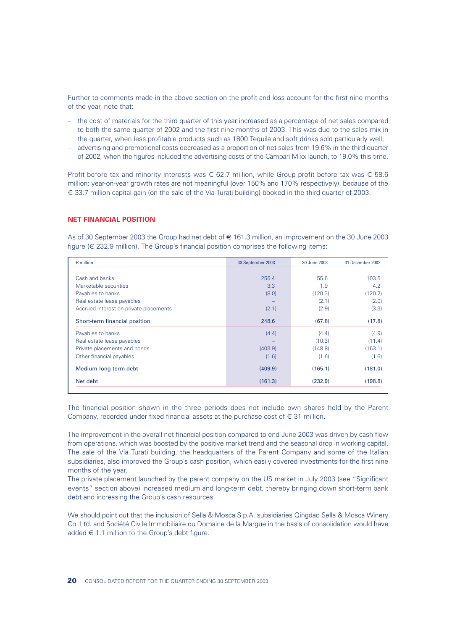Further to comments made in the above section on the profit and loss account for the first nine months of the year, note that:

- the cost of materials for the third quarter of this year increased as a percentage of net sales compared to both the same quarter of 2002 and the first nine months of 2003. This was due to the sales mix in the quarter, when less profitable products such as 1800 Tequila and soft drinks sold particularly well;
- advertising and promotional costs decreased as a proportion of net sales from 19.6% in the third quarter of 2002, when the figures included the advertising costs of the Campari Mixx launch, to 19.0% this time.

Profit before tax and minority interests was  $\epsilon$  62.7 million, while Group profit before tax was  $\epsilon$  58.6 million: year-on-year growth rates are not meaningful (over 150% and 170% respectively), because of the € 33.7 million capital gain (on the sale of the Via Turati building) booked in the third quarter of 2003.

## **NET FINANCIAL POSITION**

As of 30 September 2003 the Group had net debt of € 161.3 million, an improvement on the 30 June 2003 figure (€ 232.9 million). The Group's financial position comprises the following items:

| 30 September 2003 | 30 June 2003 | 31 December 2002 |  |
|-------------------|--------------|------------------|--|
|                   |              |                  |  |
| 255.4             | 55.6         | 103.5            |  |
| 3.3               | 1.9          | 4.2              |  |
| (8.0)             | (120.3)      | (120.2)          |  |
|                   | (2.1)        | (2.0)            |  |
| (2.1)             | (2.9)        | (3.3)            |  |
| 248.6             | (67.8)       | (17.8)           |  |
| (4.4)             | (4.4)        | (4.9)            |  |
|                   | (10.3)       | (11.4)           |  |
| (403.9)           | (148.8)      | (163.1)          |  |
| (1.6)             | (1.6)        | (1.6)            |  |
| (409.9)           | (165.1)      | (181.0)          |  |
| (161.3)           | (232.9)      | (198.8)          |  |
|                   |              |                  |  |

The financial position shown in the three periods does not include own shares held by the Parent Company, recorded under fixed financial assets at the purchase cost of  $\in$  31 million.

The improvement in the overall net financial position compared to end-June 2003 was driven by cash flow from operations, which was boosted by the positive market trend and the seasonal drop in working capital. The sale of the Via Turati building, the headquarters of the Parent Company and some of the Italian subsidiaries, also improved the Group's cash position, which easily covered investments for the first nine months of the year.

The private placement launched by the parent company on the US market in July 2003 (see "Significant events" section above) increased medium and long-term debt, thereby bringing down short-term bank debt and increasing the Group's cash resources.

We should point out that the inclusion of Sella & Mosca S.p.A. subsidiaries Qingdao Sella & Mosca Winery Co. Ltd. and Société Civile Immobiliaire du Domaine de la Margue in the basis of consolidation would have added  $\epsilon$  1.1 million to the Group's debt figure.